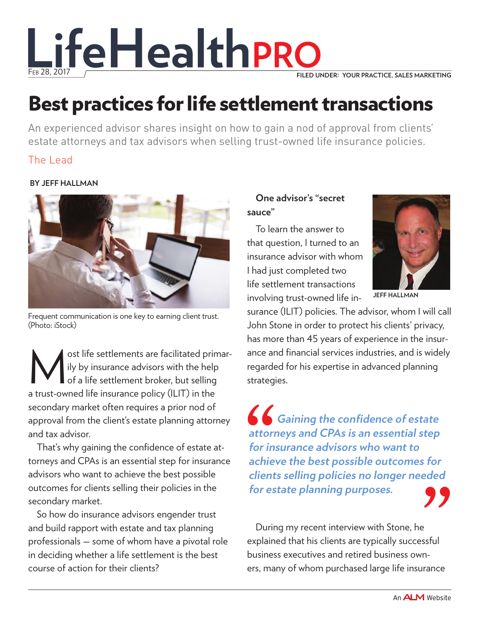

# Best practices for life settlement transactions

An experienced advisor shares insight on how to gain a nod of approval from clients' estate attorneys and tax advisors when selling trust-owned life insurance policies.

# The Lead

### **By Jeff Hallman**



Frequent communication is one key to earning client trust. (Photo: iStock)

Sost [life settlements](http://www.lifehealthpro.com/2017/02/17/the-life-settlement-market-is-heating-up) are facilitated primar-<br>ily by insurance advisors with the help<br>of a life settlement broker, but selling<br>a trust quand life insurance policy (ILIT) in the ily by insurance advisors with the help of a life settlement broker, but selling a [trust-owned life insurance policy \(ILIT\)](http://www.lifehealthpro.com/2014/10/10/trust-owned-life-insurance-opportunities-for-insu) in the secondary market often requires a prior nod of approval from the client's estate planning attorney and tax advisor.

That's why gaining the confidence of estate attorneys and CPAs is an essential step for insurance advisors who want to achieve the best possible outcomes for clients selling their policies in the secondary market.

So how do insurance advisors engender trust and build rapport with estate and tax planning professionals — some of whom have a pivotal role in deciding whether a life settlement is the best course of action for their clients?

# **One advisor's "secret sauce"**

To learn the answer to that question, I turned to [an](http://www.lifehealthpro.com/2016/11/23/agents-and-advisors-must-differentiate-themselves)  [insurance advisor](http://www.lifehealthpro.com/2016/11/23/agents-and-advisors-must-differentiate-themselves) with whom I had just completed two life settlement transactions involving trust-owned life in-



**Jeff Hallman**

surance (ILIT) policies. The advisor, whom I will call John Stone in order to protect his clients' privacy, has more than 45 years of experience in the insurance and financial services industries, and is widely regarded for his expertise in advanced planning strategies.

**• Gaining the confidence of estate attorneys and CPAs is an essential step for insurance advisors who want to achieve the best possible outcomes for clients selling policies no longer needed for estate planning purposes.** Suppliers at the series of the series of the series of the series of the series of the series of the series of the series of the series of the series of the series of the series of the series of the series of the series of

During my recent interview with Stone, he explained that his clients are typically successful business executives and [retired business own](http://www.lifehealthpro.com/2016/10/26/the-business-succession-plan-do-your-clients-have)[ers](http://www.lifehealthpro.com/2016/10/26/the-business-succession-plan-do-your-clients-have), many of whom purchased large life insurance  $\sum_{\text{ssful}}$ <br> $\sum_{\text{m-nose}}$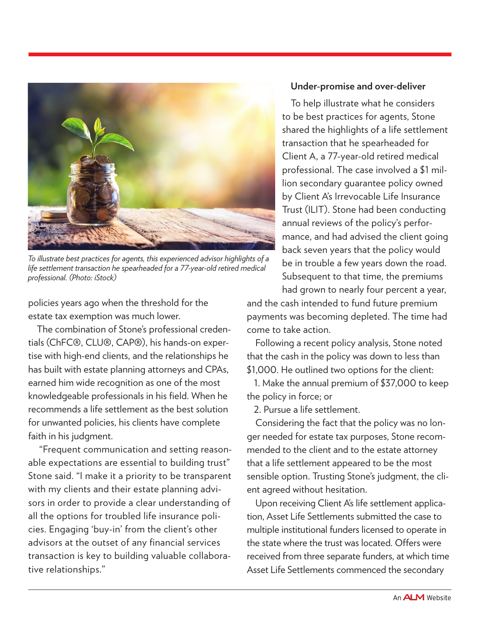

*To illustrate best practices for agents, this experienced advisor highlights of a life settlement transaction he spearheaded for a 77-year-old retired medical professional. (Photo: iStock)*

policies years ago when the threshold for the estate tax exemption was much lower.

The combination of Stone's professional credentials (ChFC®, CLU®, CAP®), his hands-on expertise with [high-end clients](http://www.lifehealthpro.com/2013/05/29/how-to-attract-and-keep-affluent-clients), and the relationships he has built with estate planning attorneys and CPAs, earned him wide recognition as one of the most knowledgeable professionals in his field. When he recommends a life settlement as the best solution for unwanted policies, his clients have complete faith in his judgment.

 "Frequent communication and setting reasonable expectations are essential to building trust" Stone said. "I make it a priority to be transparent with my clients and their estate planning advisors in order to provide a clear understanding of all the options for troubled life insurance policies. Engaging 'buy-in' from the client's other advisors at the outset of any financial services transaction is key to building valuable collaborative relationships."

#### **Under-promise and over-deliver**

To help illustrate what he considers to be best practices for agents, Stone shared the highlights of a [life settlement](http://www.lifehealthpro.com/2016/07/19/life-settlement-solution-to-rising-senior-health)  [transaction](http://www.lifehealthpro.com/2016/07/19/life-settlement-solution-to-rising-senior-health) that he spearheaded for Client A, a 77-year-old retired medical professional. The case involved a \$1 million secondary guarantee policy owned by Client A's Irrevocable Life Insurance Trust (ILIT). Stone had been [conducting](http://www.lifehealthpro.com/2014/11/28/7-ways-to-do-more-with-year-end-reviews)  [annual reviews](http://www.lifehealthpro.com/2014/11/28/7-ways-to-do-more-with-year-end-reviews) of the policy's performance, and had advised the client going back seven years that the policy would be in trouble a few years down the road. Subsequent to that time, the premiums had grown to nearly four percent a year,

and the cash intended to fund future premium payments was becoming depleted. The time had come to take action.

Following a recent policy analysis, Stone noted that the [cash in the policy](http://www.lifehealthpro.com/2016/12/06/time-to-revisit-cash-value-life-insurance) was down to less than \$1,000. He outlined two options for the client:

1. Make the annual premium of \$37,000 to keep the policy in force; or

2. Pursue a life settlement.

Considering the fact that the policy was no longer needed for estate tax purposes, Stone recommended to the client and to the estate attorney that a life settlement appeared to be the most sensible option. Trusting Stone's judgment, the client agreed without hesitation.

Upon receiving Client A's life settlement application, Asset Life Settlements submitted the case to multiple institutional funders licensed to operate in the state where the trust was located. Offers were received from three separate funders, at which time Asset Life Settlements commenced the secondary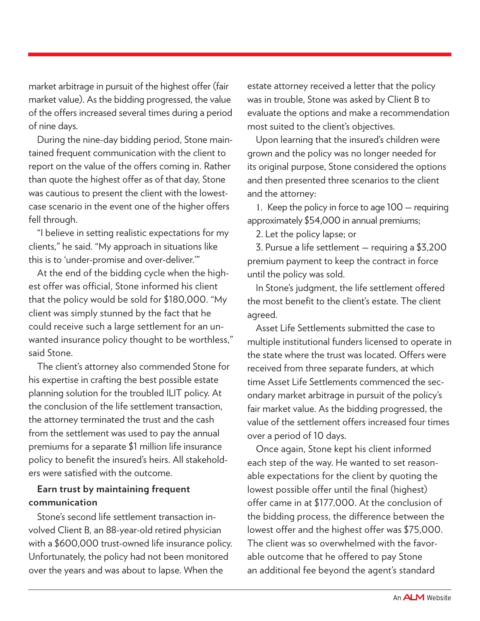market arbitrage in pursuit of the highest offer (fair market value). As the bidding progressed, the value of the offers increased several times during a period of nine days.

During the nine-day bidding period, Stone maintained frequent communication with the client to report on the value of the offers coming in. Rather than quote the highest offer as of that day, Stone was cautious to present the client with the lowestcase scenario in the event one of the higher offers fell through.

"I believe in setting [realistic expectations](http://www.lifehealthpro.com/2017/01/27/5-new-generation-expectation-gap-measurements) for my clients," he said. "My approach in situations like this is to 'under-promise and over-deliver.'"

At the end of the bidding cycle when the highest offer was official, Stone informed his client that the policy would be sold for \$180,000. "My client was simply stunned by the fact that he could receive such a large settlement for an unwanted insurance policy thought to be worthless," said Stone.

The client's attorney also commended Stone for his expertise in crafting the best possible estate planning solution for the troubled ILIT policy. At the conclusion of the life settlement transaction, the attorney terminated the trust and the cash from the settlement was used to pay the annual premiums for a separate \$1 million life insurance policy to benefit the insured's heirs. All stakeholders were satisfied with the outcome.

## **Earn trust by maintaining frequent communication**

Stone's second life settlement transaction involved Client B, an 88-year-old retired physician with a \$600,000 trust-owned life insurance policy. Unfortunately, the policy had not been monitored over the years and was about to lapse. When the

estate attorney received a letter that the policy was in trouble, Stone was asked by Client B to evaluate the options and make a recommendation most suited to the client's objectives.

Upon learning that the insured's children were grown and the policy was no longer needed for its original purpose, Stone considered the options and then presented three scenarios to the client and the attorney:

1. Keep the policy in force to age 100 — requiring approximately \$54,000 in annual premiums;

2. Let the policy lapse; or

3. Pursue a life settlement — requiring a \$3,200 premium payment to keep the contract in force until the policy was sold.

In Stone's judgment, the life settlement offered the most benefit to the client's estate. The client agreed.

Asset Life Settlements submitted the case to multiple institutional funders licensed to operate in the state where the trust was located. Offers were received from three separate funders, at which time Asset Life Settlements commenced the secondary market arbitrage in pursuit of the policy's fair market value. As the bidding progressed, the value of the settlement offers increased four times over a period of 10 days.

Once again, Stone kept his client informed each step of the way. He wanted to set reasonable expectations for the client by quoting the lowest possible offer until the final (highest) offer came in at \$177,000. At the conclusion of the bidding process, the difference between the lowest offer and the highest offer was \$75,000. The client was so overwhelmed with the favorable outcome that he offered to pay Stone an additional fee beyond the agent's standard